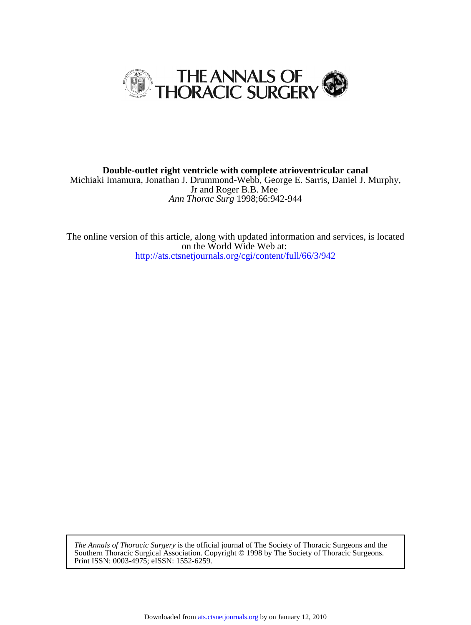

*Ann Thorac Surg* 1998;66:942-944 Jr and Roger B.B. Mee Michiaki Imamura, Jonathan J. Drummond-Webb, George E. Sarris, Daniel J. Murphy, **Double-outlet right ventricle with complete atrioventricular canal**

<http://ats.ctsnetjournals.org/cgi/content/full/66/3/942> on the World Wide Web at: The online version of this article, along with updated information and services, is located

Print ISSN: 0003-4975; eISSN: 1552-6259. Southern Thoracic Surgical Association. Copyright © 1998 by The Society of Thoracic Surgeons. *The Annals of Thoracic Surgery* is the official journal of The Society of Thoracic Surgeons and the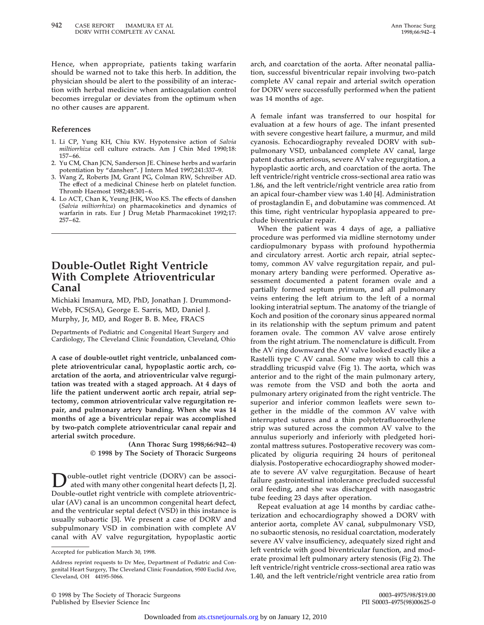**Hence, when appropriate, patients taking warfarin should be warned not to take this herb. In addition, the physician should be alert to the possibility of an interaction with herbal medicine when anticoagulation control becomes irregular or deviates from the optimum when no other causes are apparent.**

### **References**

- **1. Li CP, Yung KH, Chiu KW. Hypotensive action of** *Salvia miltiorrhiza* **cell culture extracts. Am J Chin Med 1990;18: 157–66.**
- **2. Yu CM, Chan JCN, Sanderson JE. Chinese herbs and warfarin potentiation by "danshen". J Intern Med 1997;241:337–9.**
- **3. Wang Z, Roberts JM, Grant PG, Colman RW, Schreiber AD. The effect of a medicinal Chinese herb on platelet function. Thromb Haemost 1982;48:301–6.**
- **4. Lo ACT, Chan K, Yeung JHK, Woo KS. The effects of danshen (***Salvia miltiorrhiza***) on pharmacokinetics and dynamics of warfarin in rats. Eur J Drug Metab Pharmacokinet 1992;17: 257–62.**

# **Double-Outlet Right Ventricle With Complete Atrioventricular Canal**

**Michiaki Imamura, MD, PhD, Jonathan J. Drummond-Webb, FCS(SA), George E. Sarris, MD, Daniel J. Murphy, Jr, MD, and Roger B. B. Mee, FRACS**

**Departments of Pediatric and Congenital Heart Surgery and Cardiology, The Cleveland Clinic Foundation, Cleveland, Ohio**

**A case of double-outlet right ventricle, unbalanced complete atrioventricular canal, hypoplastic aortic arch, coarctation of the aorta, and atrioventricular valve regurgitation was treated with a staged approach. At 4 days of life the patient underwent aortic arch repair, atrial septectomy, common atrioventricular valve regurgitation repair, and pulmonary artery banding. When she was 14 months of age a biventricular repair was accomplished by two-patch complete atrioventricular canal repair and arterial switch procedure.**

> **(Ann Thorac Surg 1998;66:942–4) © 1998 by The Society of Thoracic Surgeons**

ouble-outlet right ventricle (DORV) can be associ**ated with many other congenital heart defects [1, 2]. Double-outlet right ventricle with complete atrioventricular (AV) canal is an uncommon congenital heart defect, and the ventricular septal defect (VSD) in this instance is usually subaortic [3]. We present a case of DORV and subpulmonary VSD in combination with complete AV canal with AV valve regurgitation, hypoplastic aortic** **arch, and coarctation of the aorta. After neonatal palliation, successful biventricular repair involving two-patch complete AV canal repair and arterial switch operation for DORV were successfully performed when the patient was 14 months of age.**

**A female infant was transferred to our hospital for evaluation at a few hours of age. The infant presented with severe congestive heart failure, a murmur, and mild cyanosis. Echocardiography revealed DORV with subpulmonary VSD, unbalanced complete AV canal, large patent ductus arteriosus, severe AV valve regurgitation, a hypoplastic aortic arch, and coarctation of the aorta. The left ventricle/right ventricle cross-sectional area ratio was 1.86, and the left ventricle/right ventricle area ratio from an apical four-chamber view was 1.40 [4]. Administration of prostaglandin E1 and dobutamine was commenced. At this time, right ventricular hypoplasia appeared to preclude biventricular repair.**

**When the patient was 4 days of age, a palliative procedure was performed via midline sternotomy under cardiopulmonary bypass with profound hypothermia and circulatory arrest. Aortic arch repair, atrial septectomy, common AV valve regurgitation repair, and pulmonary artery banding were performed. Operative assessment documented a patent foramen ovale and a partially formed septum primum, and all pulmonary veins entering the left atrium to the left of a normal looking interatrial septum. The anatomy of the triangle of Koch and position of the coronary sinus appeared normal in its relationship with the septum primum and patent foramen ovale. The common AV valve arose entirely from the right atrium. The nomenclature is difficult. From the AV ring downward the AV valve looked exactly like a Rastelli type C AV canal. Some may wish to call this a straddling tricuspid valve (Fig 1). The aorta, which was anterior and to the right of the main pulmonary artery, was remote from the VSD and both the aorta and pulmonary artery originated from the right ventricle. The superior and inferior common leaflets were sewn together in the middle of the common AV valve with interrupted sutures and a thin polytetrafluoroethylene strip was sutured across the common AV valve to the annulus superiorly and inferiorly with pledgeted horizontal mattress sutures. Postoperative recovery was complicated by oliguria requiring 24 hours of peritoneal dialysis. Postoperative echocardiography showed moderate to severe AV valve regurgitation. Because of heart failure gastrointestinal intolerance precluded successful oral feeding, and she was discharged with nasogastric tube feeding 23 days after operation.**

**Repeat evaluation at age 14 months by cardiac catheterization and echocardiography showed a DORV with anterior aorta, complete AV canal, subpulmonary VSD, no subaortic stenosis, no residual coarctation, moderately severe AV valve insufficiency, adequately sized right and left ventricle with good biventricular function, and moderate proximal left pulmonary artery stenosis (Fig 2). The left ventricle/right ventricle cross-sectional area ratio was 1.40, and the left ventricle/right ventricle area ratio from**

**© 1998 by The Society of Thoracic Surgeons 0003-4975/98/\$19.00 Published by Elsevier Science Inc** 

**Accepted for publication March 30, 1998.**

**Address reprint requests to Dr Mee, Department of Pediatric and Congenital Heart Surgery, The Cleveland Clinic Foundation, 9500 Euclid Ave, Cleveland, OH 44195-5066.**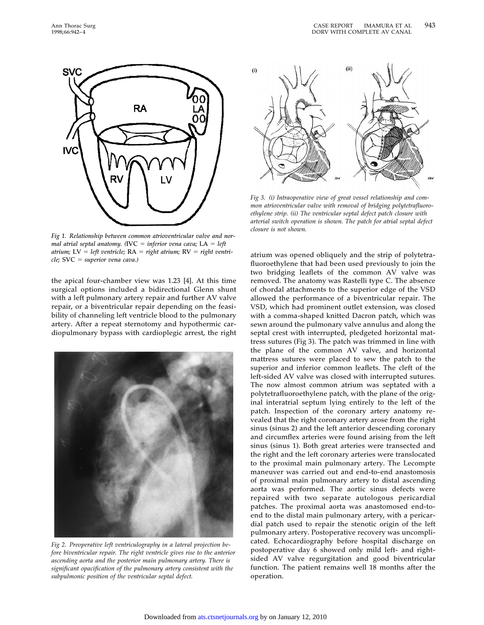

*Fig 1. Relationship between common atrioventricular valve and normal atrial septal anatomy.* (**IVC** = *inferior vena cava;* **LA** = *left atrium;*  $LV = left$  *ventricle;*  $RA = right$  *atrium;*  $RV = right$  *ventricle;* **SVC** = *superior vena cava.*)

**the apical four-chamber view was 1.23 [4]. At this time surgical options included a bidirectional Glenn shunt with a left pulmonary artery repair and further AV valve repair, or a biventricular repair depending on the feasibility of channeling left ventricle blood to the pulmonary artery. After a repeat sternotomy and hypothermic cardiopulmonary bypass with cardioplegic arrest, the right**



*Fig 2. Preoperative left ventriculography in a lateral projection before biventricular repair. The right ventricle gives rise to the anterior ascending aorta and the posterior main pulmonary artery. There is significant opacification of the pulmonary artery consistent with the subpulmonic position of the ventricular septal defect.*



*Fig 3. (i) Intraoperative view of great vessel relationship and common atrioventricular valve with removal of bridging polytetrafluoroethylene strip. (ii) The ventricular septal defect patch closure with arterial switch operation is shown. The patch for atrial septal defect closure is not shown.*

**atrium was opened obliquely and the strip of polytetrafluoroethylene that had been used previously to join the two bridging leaflets of the common AV valve was removed. The anatomy was Rastelli type C. The absence of chordal attachments to the superior edge of the VSD allowed the performance of a biventricular repair. The VSD, which had prominent outlet extension, was closed with a comma-shaped knitted Dacron patch, which was sewn around the pulmonary valve annulus and along the septal crest with interrupted, pledgeted horizontal mattress sutures (Fig 3). The patch was trimmed in line with the plane of the common AV valve, and horizontal mattress sutures were placed to sew the patch to the superior and inferior common leaflets. The cleft of the left-sided AV valve was closed with interrupted sutures. The now almost common atrium was septated with a polytetrafluoroethylene patch, with the plane of the original interatrial septum lying entirely to the left of the patch. Inspection of the coronary artery anatomy revealed that the right coronary artery arose from the right sinus (sinus 2) and the left anterior descending coronary and circumflex arteries were found arising from the left sinus (sinus 1). Both great arteries were transected and the right and the left coronary arteries were translocated to the proximal main pulmonary artery. The Lecompte maneuver was carried out and end-to-end anastomosis of proximal main pulmonary artery to distal ascending aorta was performed. The aortic sinus defects were repaired with two separate autologous pericardial patches. The proximal aorta was anastomosed end-toend to the distal main pulmonary artery, with a pericardial patch used to repair the stenotic origin of the left pulmonary artery. Postoperative recovery was uncomplicated. Echocardiography before hospital discharge on postoperative day 6 showed only mild left- and rightsided AV valve regurgitation and good biventricular function. The patient remains well 18 months after the operation.**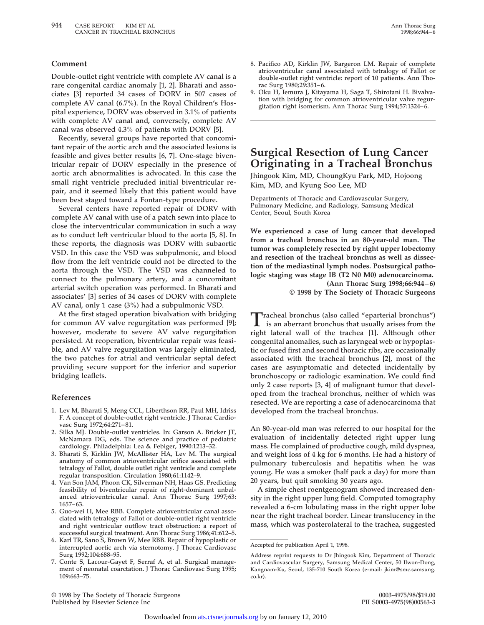### **Comment**

**Double-outlet right ventricle with complete AV canal is a rare congenital cardiac anomaly [1, 2]. Bharati and associates [3] reported 34 cases of DORV in 507 cases of complete AV canal (6.7%). In the Royal Children's Hospital experience, DORV was observed in 3.1% of patients with complete AV canal and, conversely, complete AV canal was observed 4.3% of patients with DORV [5].**

**Recently, several groups have reported that concomitant repair of the aortic arch and the associated lesions is feasible and gives better results [6, 7]. One-stage biventricular repair of DORV especially in the presence of aortic arch abnormalities is advocated. In this case the small right ventricle precluded initial biventricular repair, and it seemed likely that this patient would have been best staged toward a Fontan-type procedure.**

**Several centers have reported repair of DORV with complete AV canal with use of a patch sewn into place to close the interventricular communication in such a way as to conduct left ventricular blood to the aorta [5, 8]. In these reports, the diagnosis was DORV with subaortic VSD. In this case the VSD was subpulmonic, and blood flow from the left ventricle could not be directed to the aorta through the VSD. The VSD was channeled to connect to the pulmonary artery, and a concomitant arterial switch operation was performed. In Bharati and associates' [3] series of 34 cases of DORV with complete AV canal, only 1 case (3%) had a subpulmonic VSD.**

**At the first staged operation bivalvation with bridging for common AV valve regurgitation was performed [9]; however, moderate to severe AV valve regurgitation persisted. At reoperation, biventricular repair was feasible, and AV valve regurgitation was largely eliminated, the two patches for atrial and ventricular septal defect providing secure support for the inferior and superior bridging leaflets.**

#### **References**

- **1. Lev M, Bharati S, Meng CCL, Liberthson RR, Paul MH, Idriss F. A concept of double-outlet right ventricle. J Thorac Cardiovasc Surg 1972;64:271–81.**
- **2. Silka MJ. Double-outlet ventricles. In: Garson A. Bricker JT, McNamara DG, eds. The science and practice of pediatric cardiology. Philadelphia: Lea & Febiger, 1990:1213–32.**
- **3. Bharati S, Kirklin JW, McAllister HA, Lev M. The surgical anatomy of common atrioventricular orifice associated with tetralogy of Fallot, double outlet right ventricle and complete regular transposition. Circulation 1980;61:1142–9.**
- **4. Van Son JAM, Phoon CK, Silverman NH, Haas GS. Predicting feasibility of biventricular repair of right-dominant unbalanced atrioventricular canal. Ann Thorac Surg 1997;63: 1657–63.**
- **5. Guo-wei H, Mee RBB. Complete atrioventricular canal associated with tetralogy of Fallot or double-outlet right ventricle and right ventricular outflow tract obstruction: a report of successful surgical treatment. Ann Thorac Surg 1986;41:612–5.**
- **6. Karl TR, Sano S, Brown W, Mee RBB. Repair of hypoplastic or interrupted aortic arch via sternotomy. J Thorac Cardiovasc Surg 1992;104:688–95.**
- **7. Conte S, Lacour-Gayet F, Serraf A, et al. Surgical management of neonatal coarctation. J Thorac Cardiovasc Surg 1995; 109:663–75.**
- **8. Pacifico AD, Kirklin JW, Bargeron LM. Repair of complete atrioventricular canal associated with tetralogy of Fallot or double-outlet right ventricle: report of 10 patients. Ann Thorac Surg 1980;29:351–6.**
- **9. Oku H, Iemura J, Kitayama H, Saga T, Shirotani H. Bivalvation with bridging for common atrioventricular valve regurgitation right isomerism. Ann Thorac Surg 1994;57:1324–6.**

# **Surgical Resection of Lung Cancer Originating in a Tracheal Bronchus**

**Jhingook Kim, MD, ChoungKyu Park, MD, Hojoong Kim, MD, and Kyung Soo Lee, MD**

**Departments of Thoracic and Cardiovascular Surgery, Pulmonary Medicine, and Radiology, Samsung Medical Center, Seoul, South Korea**

**We experienced a case of lung cancer that developed from a tracheal bronchus in an 80-year-old man. The tumor was completely resected by right upper lobectomy and resection of the tracheal bronchus as well as dissection of the mediastinal lymph nodes. Postsurgical pathologic staging was stage IB (T2 N0 M0) adenocarcinoma.**

**(Ann Thorac Surg 1998;66:944–6) © 1998 by The Society of Thoracic Surgeons**

**Tracheal bronchus (also called "eparterial bronchus") is an aberrant bronchus that usually arises from the right lateral wall of the trachea [1]. Although other congenital anomalies, such as laryngeal web or hypoplastic or fused first and second thoracic ribs, are occasionally associated with the tracheal bronchus [2], most of the cases are asymptomatic and detected incidentally by bronchoscopy or radiologic examination. We could find only 2 case reports [3, 4] of malignant tumor that developed from the tracheal bronchus, neither of which was resected. We are reporting a case of adenocarcinoma that developed from the tracheal bronchus.**

**An 80-year-old man was referred to our hospital for the evaluation of incidentally detected right upper lung mass. He complained of productive cough, mild dyspnea, and weight loss of 4 kg for 6 months. He had a history of pulmonary tuberculosis and hepatitis when he was young. He was a smoker (half pack a day) for more than 20 years, but quit smoking 30 years ago.**

**A simple chest roentgenogram showed increased density in the right upper lung field. Computed tomography revealed a 6-cm lobulating mass in the right upper lobe near the right tracheal border. Linear translucency in the mass, which was posterolateral to the trachea, suggested**

**Accepted for publication April 1, 1998.**

**Address reprint requests to Dr Jhingook Kim, Department of Thoracic and Cardiovascular Surgery, Samsung Medical Center, 50 Ilwon-Dong, Kangnam-Ku, Seoul, 135-710 South Korea (e-mail: jkim@smc.samsung. co.kr).**